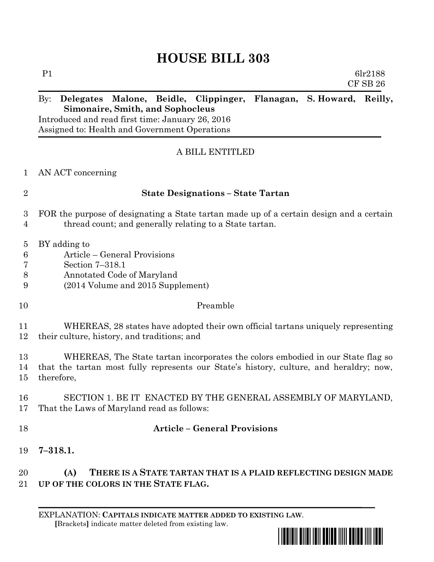## **HOUSE BILL 303**

| P1 |                                                  |  |                                                                        | 6lr2188 |              |
|----|--------------------------------------------------|--|------------------------------------------------------------------------|---------|--------------|
|    |                                                  |  |                                                                        |         | $CF$ SB $26$ |
|    |                                                  |  | By: Delegates Malone, Beidle, Clippinger, Flanagan, S. Howard, Reilly, |         |              |
|    | <b>Simonaire, Smith, and Sophocleus</b>          |  |                                                                        |         |              |
|    | Introduced and read first time: January 26, 2016 |  |                                                                        |         |              |
|    | Assigned to: Health and Government Operations    |  |                                                                        |         |              |

## A BILL ENTITLED

|  | AN ACT concerning |
|--|-------------------|
|  |                   |

|  | <b>State Designations – State Tartan</b> |
|--|------------------------------------------|
|--|------------------------------------------|

- FOR the purpose of designating a State tartan made up of a certain design and a certain thread count; and generally relating to a State tartan.
- BY adding to
- Article General Provisions
- Section 7–318.1
- Annotated Code of Maryland
- (2014 Volume and 2015 Supplement)
- Preamble

 WHEREAS, 28 states have adopted their own official tartans uniquely representing their culture, history, and traditions; and

- WHEREAS, The State tartan incorporates the colors embodied in our State flag so that the tartan most fully represents our State's history, culture, and heraldry; now, therefore,
- SECTION 1. BE IT ENACTED BY THE GENERAL ASSEMBLY OF MARYLAND, That the Laws of Maryland read as follows:
- 

## **Article – General Provisions**

**7–318.1.**

 **(A) THERE IS A STATE TARTAN THAT IS A PLAID REFLECTING DESIGN MADE UP OF THE COLORS IN THE STATE FLAG.**